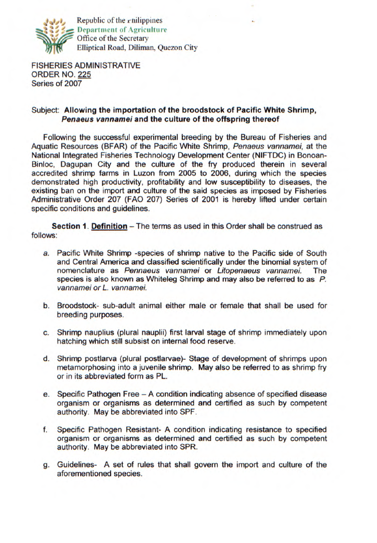

Republic of the r-nilippines **I**Department of **Agriculture** Office of the Secretary Elliptical Road, Diliman, Quezon City

FISHERIES ADMINISTRATIVE ORDER NO. 225 Series of 2007

## Subject: **Allowing the importation of the broodstock of Pacific White Shrimp, Penaeus vannamei and the culture of the offspring thereof**

Following the successful experimental breeding by the Bureau of Fisheries and Aquatic Resources (BFAR) of the Pacific White Shrimp, Penaeus vannamei, at the National Integrated Fisheries Technology Development Center (NIFTDC) in Bonoan-Binloc, Dagupan City and the culture of the fry produced therein in several accredited shrimp farms in Luzon from 2005 to 2006, during which the species demonstrated high productivity, profitability and low susceptibility to diseases, the existing ban on the import and culture of the said species as imposed by Fisheries Administrative Order 207 (FAO 207) Series of 2001 is hereby lifted under certain specific conditions and guidelines.

**Section 1. Definition – The terms as used in this Order shall be construed as** follows:

- a. Pacific White Shrimp -species of shrimp native to the Pacific side of South and Central America and classified scientifically under the binomial system of nomenclature as Pennaeus vannamei or Litopenaeus vannamei. The species is also known as Whiteleg Shrimp and may also be referred to as P. vannamei or L. vannamei.
- b. Broodstock- sub-adult animal either male or female that shall be used for breeding purposes.
- c. Shrimp nauplius (plural nauplii) first larval stage of shrimp immediately upon hatching which still subsist on internal food reserve.
- d. Shrimp postlarva (plural postlarvae)- Stage of development of shrimps upon metamorphosing into a juvenile shrimp. May also be referred to as shrimp fry or in its abbreviated form as PL.
- e. Specific Pathogen Free A condition indicating absence of specified disease organism or organisms as determined and certified as such by competent authority. May be abbreviated into SPF.
- f. Specific Pathogen Resistant- A condition indicating resistance to specified organism or organisms as determined and certified as such by competent authority. May be abbreviated into SPR.
- g. Guidelines- A set of rules that shall govern the import and culture of the aforementioned species.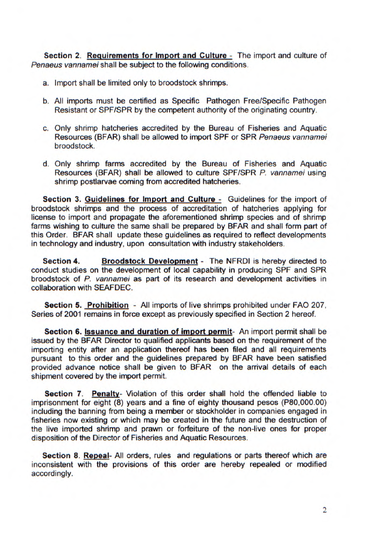**Section 2. Requirements for Import and Culture** - The import and culture of Penaeus vannamei shall be subject to the following conditions.

- a. Import shall be limited only to broodstock shrimps.
- b. All imports must be certified as Specific Pathogen Free/Specific Pathogen Resistant or SPF/SPR by the competent authority of the originating country.
- c. Only shrimp hatcheries accredited by the Bureau of Fisheries and Aquatic Resources (BEAR) shall be allowed to import SPE or SPR Penaeus vannamei broodstock.
- d. Only shrimp farms accredited by the Bureau of Fisheries and Aquatic Resources (BEAR) shall be allowed to culture SPF/SPR P. vannamei using shrimp postlarvae coming from accredited hatcheries.

**Section 3. Guidelines for Import and Culture - Guidelines for the import of** broodstock shrimps and the process of accreditation of hatcheries applying for license to import and propagate the aforementioned shrimp species and of shrimp farms wishing to culture the same shall be prepared by BFAR and shall form part of this Order. BEAR shall update these guidelines as required to reflect developments in technology and industry, upon consultation with industry stakeholders.

**Section 4. Broodstock Development** - The NFRDI is hereby directed to conduct studies on the development of local capability in producing SPF and SPR broodstock of P. vannamei as part of its research and development activities in collaboration with SEAFDEC.

**Section 5. Prohibition** - All imports of live shrimps prohibited under FAO 207, Series of 2001 remains in force except as previously specified in Section 2 hereof.

**Section 6. Issuance and duration of import permit-** An import permit shall be issued by the BEAR Director to qualified applicants based on the requirement of the importing entity after an application thereof has been filed and all requirements pursuant to this order and the guidelines prepared by BEAR have been satisfied provided advance notice shall be given to BEAR on the arrival details of each shipment covered by the import permit.

**Section 7. Penalty-** Violation of this order shall hold the offended liable to imprisonment for eight (8) years and a fine of eighty thousand pesos (P80,000.00) including the banning from being a member or stockholder in companies engaged in fisheries now existing or which may be created in the future and the destruction of the live imported shrimp and prawn or forfeiture of the non-live ones for proper disposition of the Director of Fisheries and Aquatic Resources.

**Section 8. Repeal-** All orders, rules and regulations or parts thereof which are inconsistent with the provisions of this order are hereby repealed or modified accordingly.